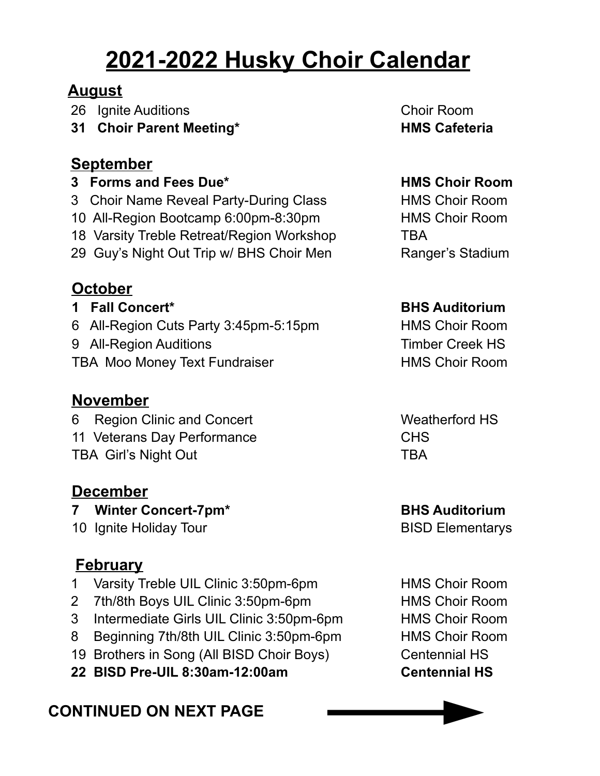# **2021-2022 Husky Choir Calendar**

#### **August**

26 Ignite Auditions Choir Room

**31 Choir Parent Meeting\* HMS Cafeteria**

#### **September**

**3 Forms and Fees Due\* HMS Choir Room**

3 Choir Name Reveal Party-During Class HMS Choir Room

10 All-Region Bootcamp 6:00pm-8:30pm HMS Choir Room

18 Varsity Treble Retreat/Region Workshop TBA

29 Guy's Night Out Trip w/ BHS Choir Men Ranger's Stadium

**October**

6 All-Region Cuts Party 3:45pm-5:15pm HMS Choir Room

9 All-Region Auditions Timber Creek HS

TBA Moo Money Text Fundraiser **HMS Choir Room** 

# **November**

6 Region Clinic and Concert Weatherford HS 11 Veterans Day Performance **CHS** TBA Girl's Night Out TBA

### **December**

**7 Winter Concert-7pm\* BHS Auditorium**

10 Ignite Holiday Tour **BISD** Elementarys

# **February**

- 1 Varsity Treble UIL Clinic 3:50pm-6pm HMS Choir Room
- 2 7th/8th Boys UIL Clinic 3:50pm-6pm HMS Choir Room
- 3 Intermediate Girls UIL Clinic 3:50pm-6pm HMS Choir Room
- 8 Beginning 7th/8th UIL Clinic 3:50pm-6pm HMS Choir Room
- 19 Brothers in Song (All BISD Choir Boys) Centennial HS
- **22 BISD Pre-UIL 8:30am-12:00am Centennial HS**

# **CONTINUED ON NEXT PAGE**

#### **1 Fall Concert\* BHS Auditorium**